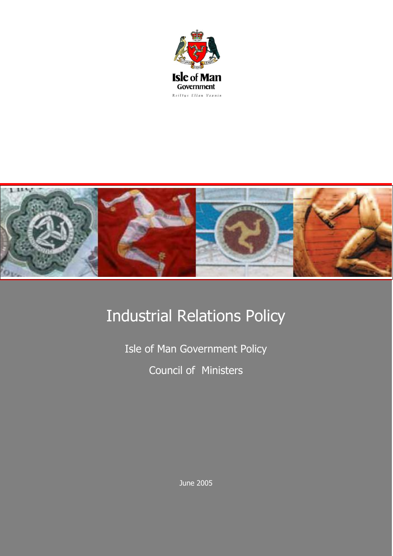



## Industrial Relations Policy

Isle of Man Government Policy Council of Ministers

June 2005